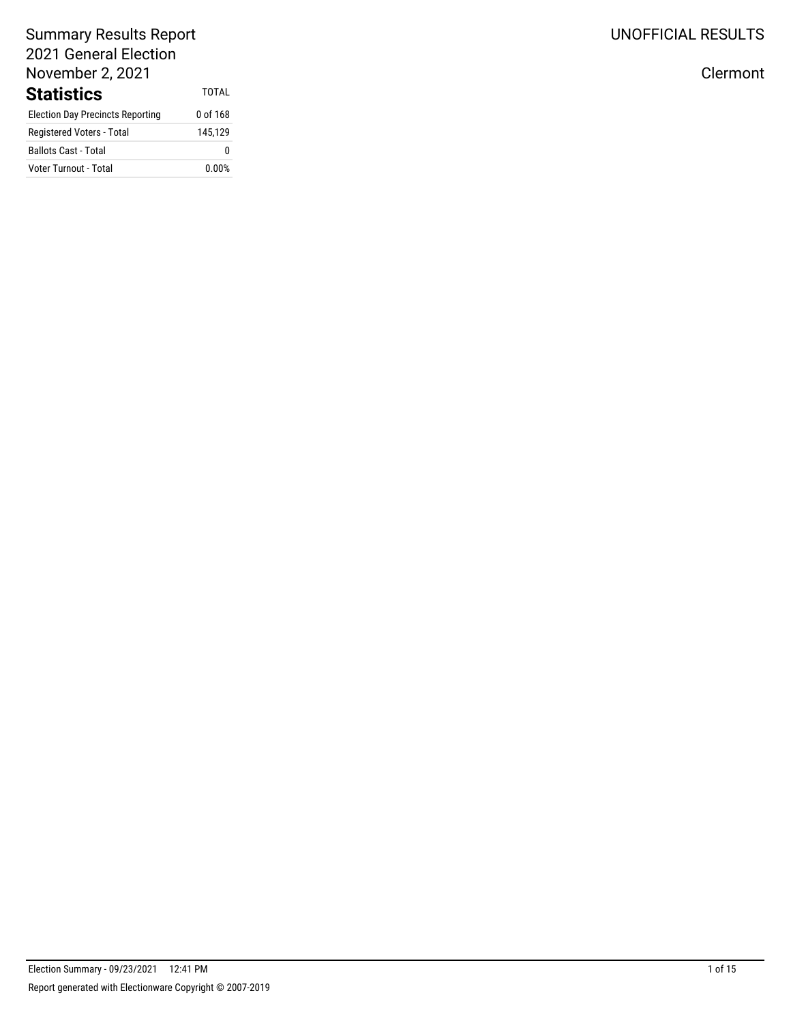### Summary Results Report 2021 General Election November 2, 2021 Statistics TOTAL

| olalistics                              |          |
|-----------------------------------------|----------|
| <b>Election Day Precincts Reporting</b> | 0 of 168 |
| Registered Voters - Total               | 145.129  |
| <b>Ballots Cast - Total</b>             | n        |
| Voter Turnout - Total                   | 0.00%    |

UNOFFICIAL RESULTS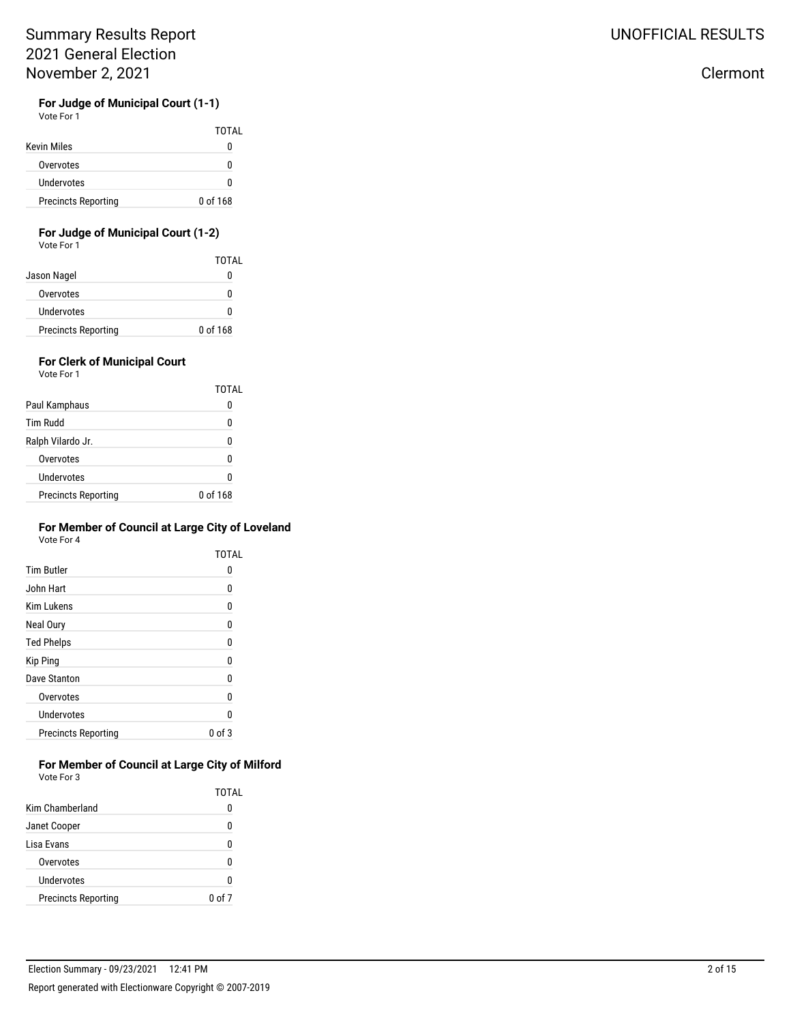# **For Judge of Municipal Court (1-1)**

Vote For 1

|                            | TOTAL    |
|----------------------------|----------|
| Kevin Miles                | o        |
| Overvotes                  | n        |
| Undervotes                 | n        |
| <b>Precincts Reporting</b> | 0 of 168 |

#### **For Judge of Municipal Court (1-2)** Vote For 1

|                            | TOTAL    |
|----------------------------|----------|
| Jason Nagel                | o        |
| Overvotes                  | n        |
| Undervotes                 | n        |
| <b>Precincts Reporting</b> | 0 of 168 |

## **For Clerk of Municipal Court**

Vote For 1

|                            | TOTAI    |
|----------------------------|----------|
| Paul Kamphaus              |          |
| Tim Rudd                   | 0        |
| Ralph Vilardo Jr.          | Ω        |
| Overvotes                  |          |
| Undervotes                 | n        |
| <b>Precincts Reporting</b> | 0 of 168 |

#### **For Member of Council at Large City of Loveland** Vote For 4

|                            | TOTAL  |
|----------------------------|--------|
| <b>Tim Butler</b>          | 0      |
| John Hart                  | O      |
| <b>Kim Lukens</b>          | 0      |
| Neal Oury                  | O      |
| <b>Ted Phelps</b>          | 0      |
| Kip Ping                   | N      |
| Dave Stanton               | N      |
| Overvotes                  | N      |
| Undervotes                 |        |
| <b>Precincts Reporting</b> | 0 of 3 |

#### **For Member of Council at Large City of Milford** Vote For 3

|                            | TOTAL  |
|----------------------------|--------|
| Kim Chamberland            |        |
| Janet Cooper               | O      |
| Lisa Evans                 |        |
| Overvotes                  | n      |
| Undervotes                 |        |
| <b>Precincts Reporting</b> | 0 of 7 |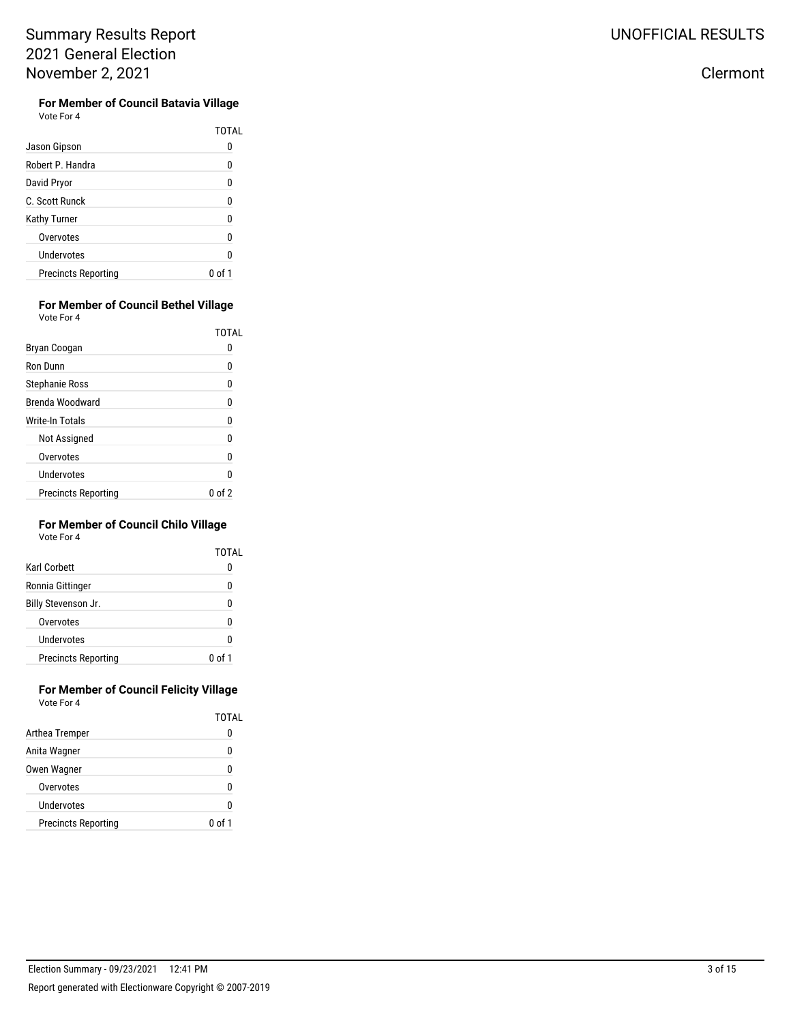**For Member of Council Batavia Village** Vote For 4

|                            | TOTAI  |
|----------------------------|--------|
| Jason Gipson               |        |
| Robert P. Handra           | ۵      |
| David Pryor                | 0      |
| C. Scott Runck             | 0      |
| Kathy Turner               | O      |
| Overvotes                  | ۵      |
| Undervotes                 | O      |
| <b>Precincts Reporting</b> | 0 of 1 |

#### **For Member of Council Bethel Village** Vote For 4

|                            | TOTAL   |
|----------------------------|---------|
| Bryan Coogan               |         |
| Ron Dunn                   | 0       |
| Stephanie Ross             | 0       |
| Brenda Woodward            | 0       |
| <b>Write-In Totals</b>     | 0       |
| Not Assigned               | 0       |
| Overvotes                  | 0       |
| Undervotes                 | 0       |
| <b>Precincts Reporting</b> | () of 2 |

### **For Member of Council Chilo Village**

| Vote For 4 |  |
|------------|--|
|            |  |

|                            | TOTAI  |
|----------------------------|--------|
| Karl Corbett               |        |
| Ronnia Gittinger           |        |
| Billy Stevenson Jr.        |        |
| Overvotes                  |        |
| Undervotes                 |        |
| <b>Precincts Reporting</b> | 0 of 1 |

#### **For Member of Council Felicity Village** Vote For 4

|                            | TOTAL  |
|----------------------------|--------|
| Arthea Tremper             | 0      |
| Anita Wagner               | 0      |
| Owen Wagner                | Ω      |
| Overvotes                  | Ω      |
| Undervotes                 | Λ      |
| <b>Precincts Reporting</b> | 0 of 1 |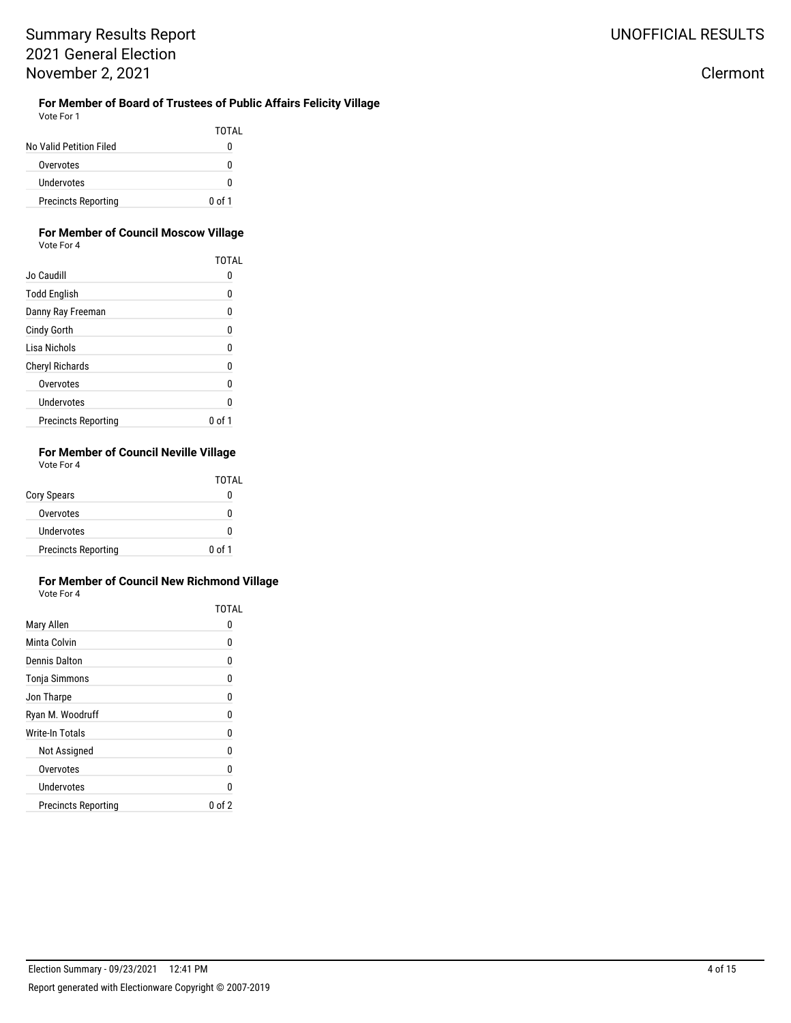#### **For Member of Board of Trustees of Public Affairs Felicity Village** Vote For 1

|                            | TOTAL  |
|----------------------------|--------|
| No Valid Petition Filed    | 0      |
| Overvotes                  | 0      |
| Undervotes                 | U      |
| <b>Precincts Reporting</b> | 0 of 1 |

#### **For Member of Council Moscow Village** Vote For 4

|                            | TOTAL    |
|----------------------------|----------|
| Jo Caudill                 | 0        |
| <b>Todd English</b>        | 0        |
| Danny Ray Freeman          | 0        |
| <b>Cindy Gorth</b>         | 0        |
| Lisa Nichols               | 0        |
| <b>Cheryl Richards</b>     | 0        |
| Overvotes                  | 0        |
| Undervotes                 | 0        |
| <b>Precincts Reporting</b> | $\Omega$ |

#### **For Member of Council Neville Village** Vote For 4

|                            | TOTAL  |
|----------------------------|--------|
| <b>Cory Spears</b>         |        |
| Overvotes                  |        |
| Undervotes                 | n      |
| <b>Precincts Reporting</b> | 0 of 1 |

#### **For Member of Council New Richmond Village** Vote For 4

|                            | <b>TOTAL</b> |
|----------------------------|--------------|
| Mary Allen                 | u            |
| Minta Colvin               | 0            |
| Dennis Dalton              | 0            |
| Tonja Simmons              | 0            |
| Jon Tharpe                 | 0            |
| Ryan M. Woodruff           | 0            |
| Write-In Totals            | 0            |
| Not Assigned               | 0            |
| Overvotes                  | n            |
| Undervotes                 | n            |
| <b>Precincts Reporting</b> | 0 of 2       |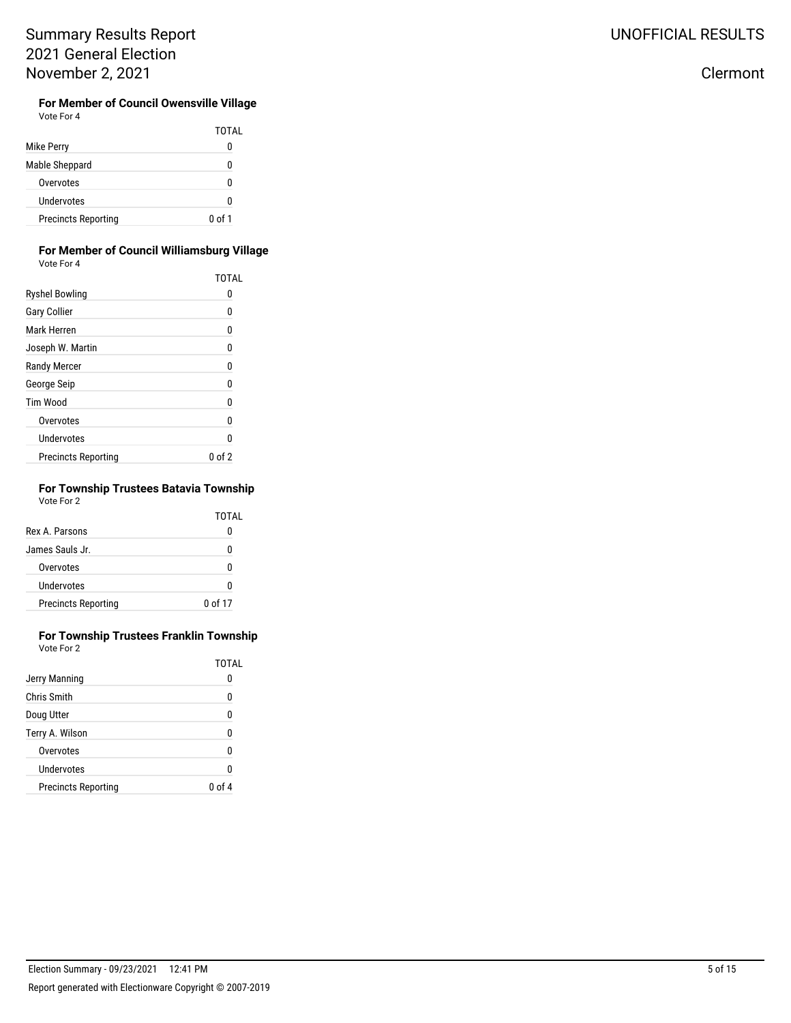**For Member of Council Owensville Village** Vote For 4

|                            | TOTAL  |
|----------------------------|--------|
| Mike Perry                 |        |
| Mable Sheppard             | n      |
| Overvotes                  |        |
| Undervotes                 | n      |
| <b>Precincts Reporting</b> | 0 of 1 |

#### **For Member of Council Williamsburg Village** Vote For 4

|                            | <b>TOTAL</b> |
|----------------------------|--------------|
| <b>Ryshel Bowling</b>      | O            |
| <b>Gary Collier</b>        | 0            |
| Mark Herren                | 0            |
| Joseph W. Martin           | 0            |
| <b>Randy Mercer</b>        | 0            |
| George Seip                | 0            |
| <b>Tim Wood</b>            | 0            |
| Overvotes                  | 0            |
| Undervotes                 | N            |
| <b>Precincts Reporting</b> | 0 of 2       |

## **For Township Trustees Batavia Township**

Vote For 2

|                            | TOTAL   |
|----------------------------|---------|
| Rex A. Parsons             |         |
| James Sauls Jr.            | N       |
| Overvotes                  | n       |
| Undervotes                 | n       |
| <b>Precincts Reporting</b> | 0 of 17 |

#### **For Township Trustees Franklin Township** Vote For 2

|                            | <b>TOTAL</b> |
|----------------------------|--------------|
| Jerry Manning              |              |
| <b>Chris Smith</b>         | 0            |
| Doug Utter                 | 0            |
| Terry A. Wilson            | Ω            |
| Overvotes                  | 0            |
| Undervotes                 | Λ            |
| <b>Precincts Reporting</b> | 0 of 4       |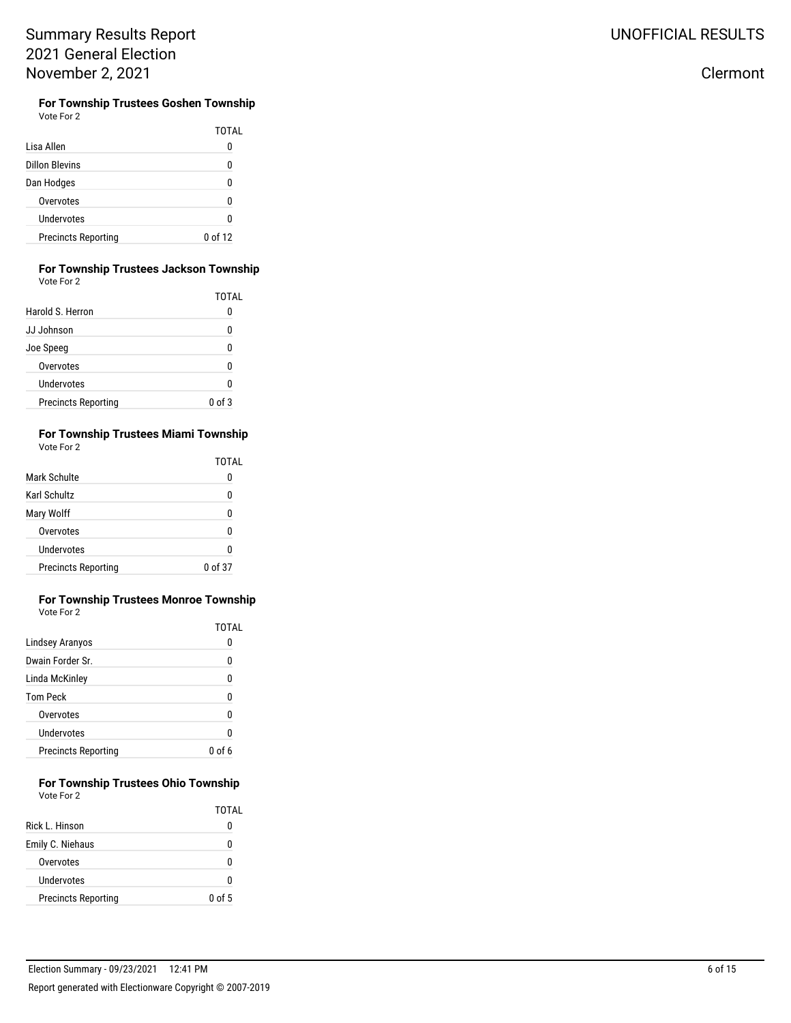**For Township Trustees Goshen Township** Vote For 2

|                            | TOTAL   |
|----------------------------|---------|
| Lisa Allen                 |         |
| <b>Dillon Blevins</b>      |         |
| Dan Hodges                 |         |
| Overvotes                  |         |
| Undervotes                 |         |
| <b>Precincts Reporting</b> | 0 of 12 |

#### **For Township Trustees Jackson Township** Vote For 2

|                            | TOTAL             |
|----------------------------|-------------------|
| Harold S. Herron           |                   |
| JJ Johnson                 | ſ                 |
| Joe Speeg                  |                   |
| Overvotes                  | ſ                 |
| Undervotes                 | ſ                 |
| <b>Precincts Reporting</b> | $0 \text{ of } 3$ |

#### **For Township Trustees Miami Township** Vote For 2

|                            | TOTAL              |
|----------------------------|--------------------|
| Mark Schulte               | 0                  |
| Karl Schultz               | 0                  |
| Mary Wolff                 | n                  |
| Overvotes                  | 0                  |
| Undervotes                 | 0                  |
| <b>Precincts Reporting</b> | $0 \text{ of } 37$ |

#### **For Township Trustees Monroe Township** Vote For 2

|                            | TOTAL  |
|----------------------------|--------|
| Lindsey Aranyos            | O      |
| Dwain Forder Sr.           | n      |
| Linda McKinley             | n      |
| <b>Tom Peck</b>            | N      |
| Overvotes                  | ŋ      |
| Undervotes                 | Λ      |
| <b>Precincts Reporting</b> | 0 of 6 |

#### **For Township Trustees Ohio Township** Vote For 2

|                            | TOTAL  |
|----------------------------|--------|
| Rick L. Hinson             |        |
| Emily C. Niehaus           | O      |
| Overvotes                  | n      |
| Undervotes                 |        |
| <b>Precincts Reporting</b> | 0 of 5 |

# UNOFFICIAL RESULTS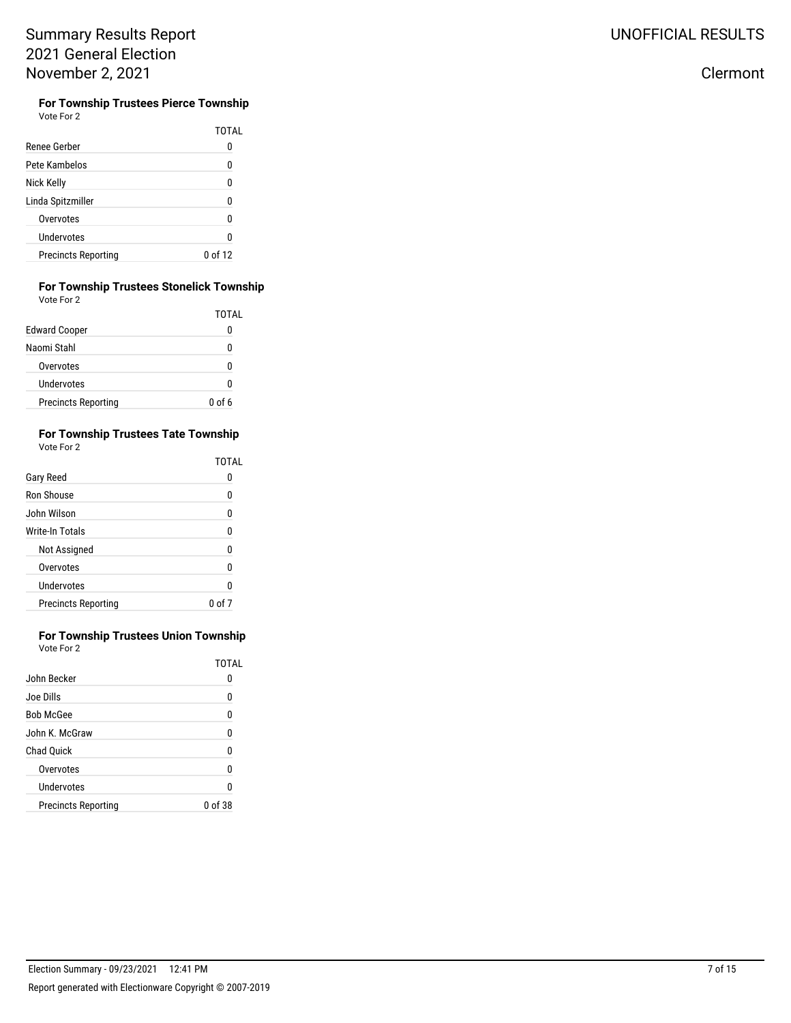**For Township Trustees Pierce Township** Vote For 2

| Renee Gerber               | TOTAL   |
|----------------------------|---------|
| Pete Kambelos              | n       |
| Nick Kelly                 | N       |
| Linda Spitzmiller          | n       |
| Overvotes                  | n       |
| Undervotes                 | n       |
| <b>Precincts Reporting</b> | በ of 12 |

#### **For Township Trustees Stonelick Township** Vote For 2

|                            | TOTAL    |
|----------------------------|----------|
| <b>Edward Cooper</b>       | 0        |
| Naomi Stahl                | U        |
| Overvotes                  | U        |
| Undervotes                 | 0        |
| <b>Precincts Reporting</b> | $0$ of 6 |

#### **For Township Trustees Tate Township** Vote For 2

|                            | <b>TOTAL</b> |
|----------------------------|--------------|
| Gary Reed                  |              |
| Ron Shouse                 | n            |
| John Wilson                | ŋ            |
| Write-In Totals            | ŋ            |
| Not Assigned               | Λ            |
| Overvotes                  | 0            |
| Undervotes                 | n            |
| <b>Precincts Reporting</b> | በ of 7       |

#### **For Township Trustees Union Township** Vote For 2

|                            | TOTAL   |
|----------------------------|---------|
| John Becker                | O       |
| Joe Dills                  | U       |
| <b>Bob McGee</b>           | 0       |
| John K. McGraw             | ŋ       |
| <b>Chad Quick</b>          | ŋ       |
| Overvotes                  | 0       |
| Undervotes                 | n       |
| <b>Precincts Reporting</b> | 0 of 38 |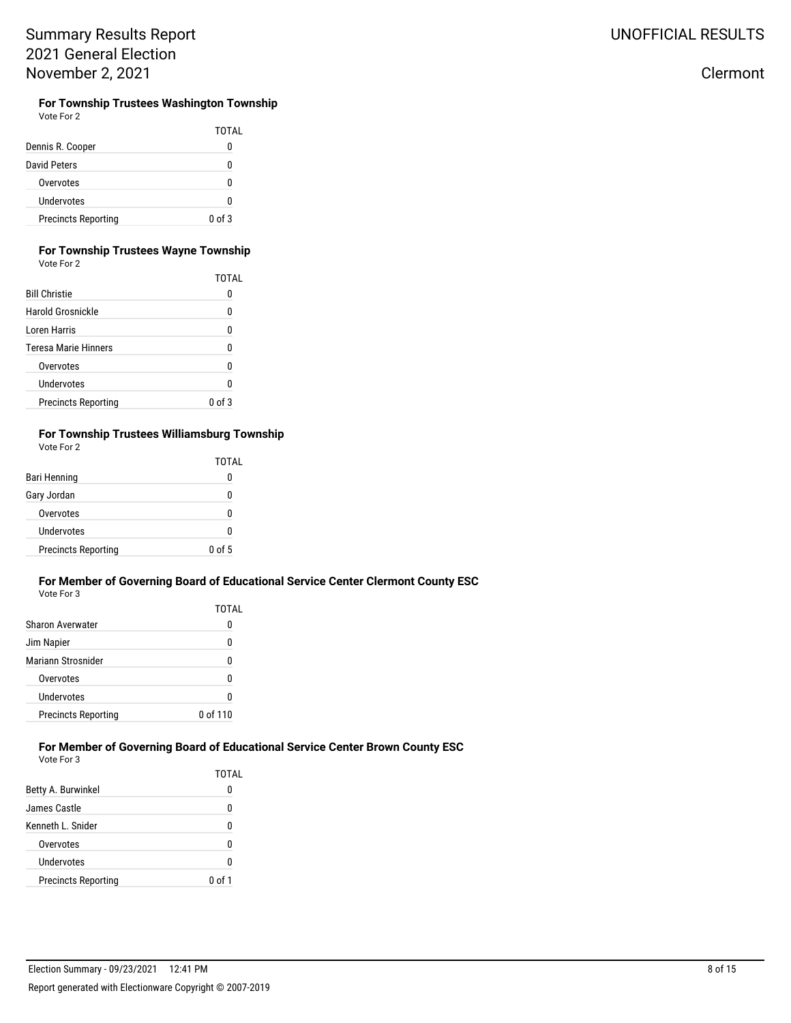| Vote For 2 |  |
|------------|--|
|------------|--|

**For Township Trustees Washington Township**<br>Vote For 2

|                            | TOTAL      |
|----------------------------|------------|
| Dennis R. Cooper           | O          |
| David Peters               | n          |
| Overvotes                  | n          |
| Undervotes                 | n          |
| <b>Precincts Reporting</b> | $0$ of $3$ |

#### **For Township Trustees Wayne Township** Vote For 2

|                             | TOTAL  |
|-----------------------------|--------|
| <b>Bill Christie</b>        |        |
| Harold Grosnickle           | 0      |
| Loren Harris                | 0      |
| <b>Teresa Marie Hinners</b> | n      |
| Overvotes                   | n      |
| Undervotes                  | n      |
| <b>Precincts Reporting</b>  | 0 of 3 |

#### **For Township Trustees Williamsburg Township** Vote For 2

|                            | TOTAL  |
|----------------------------|--------|
| Bari Henning               |        |
| Gary Jordan                |        |
| Overvotes                  |        |
| Undervotes                 |        |
| <b>Precincts Reporting</b> | 0 of 5 |

#### **For Member of Governing Board of Educational Service Center Clermont County ESC** Vote For 3

|                            | TOTAL    |
|----------------------------|----------|
| Sharon Averwater           |          |
| Jim Napier                 |          |
| Mariann Strosnider         |          |
| Overvotes                  | n        |
| Undervotes                 |          |
| <b>Precincts Reporting</b> | 0 of 110 |

### **For Member of Governing Board of Educational Service Center Brown County ESC**

Vote For 3

|                            | TOTAL  |
|----------------------------|--------|
| Betty A. Burwinkel         | 0      |
| James Castle.              | 0      |
| Kenneth L. Snider          | 0      |
| Overvotes                  | ŋ      |
| Undervotes                 | ŋ      |
| <b>Precincts Reporting</b> | 0 of 1 |
|                            |        |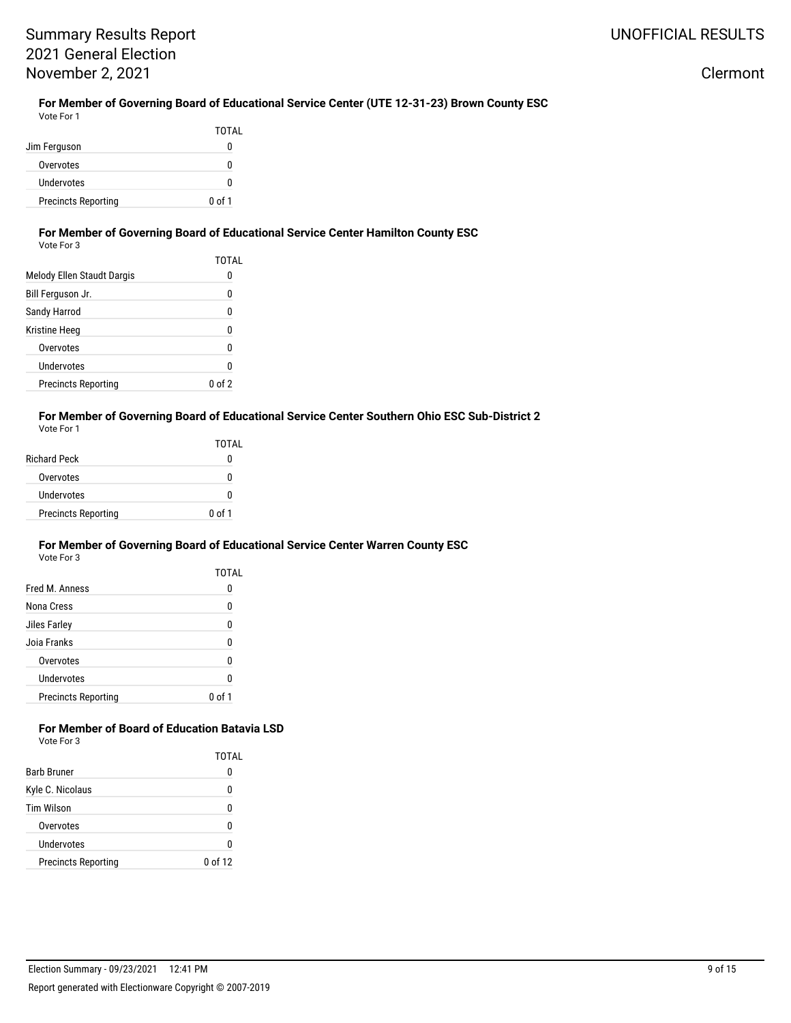Clermont

### **For Member of Governing Board of Educational Service Center (UTE 12-31-23) Brown County ESC**

| Vote For 1                 |        |
|----------------------------|--------|
|                            | TOTAL  |
| Jim Ferguson               | O      |
| Overvotes                  | n      |
| Undervotes                 | O      |
| <b>Precincts Reporting</b> | 0 of 1 |

### **For Member of Governing Board of Educational Service Center Hamilton County ESC**

| Vote For 3                 |                 |
|----------------------------|-----------------|
|                            | TOTAL           |
| Melody Ellen Staudt Dargis | 0               |
| Bill Ferguson Jr.          | 0               |
| Sandy Harrod               | 0               |
| Kristine Heeg              | 0               |
| Overvotes                  | 0               |
| Undervotes                 | ŋ               |
| <b>Precincts Reporting</b> | f 2<br>$\Omega$ |

#### **For Member of Governing Board of Educational Service Center Southern Ohio ESC Sub-District 2** Vote For 1

|                            | TOTAL  |
|----------------------------|--------|
| <b>Richard Peck</b>        | 0      |
| Overvotes                  | 0      |
| Undervotes                 | 0      |
| <b>Precincts Reporting</b> | 0 of 1 |

#### **For Member of Governing Board of Educational Service Center Warren County ESC** Vote For 3

|                            | TOTAL  |
|----------------------------|--------|
| Fred M. Anness             | O      |
| Nona Cress                 | U      |
| Jiles Farley               | ŋ      |
| Joia Franks                | 0      |
| Overvotes                  | ŋ      |
| Undervotes                 | ŋ      |
| <b>Precincts Reporting</b> | Ո օf 1 |

#### **For Member of Board of Education Batavia LSD** Vote For 3

|                            | TOTAI   |
|----------------------------|---------|
| <b>Barb Bruner</b>         |         |
| Kyle C. Nicolaus           |         |
| Tim Wilson                 |         |
| Overvotes                  |         |
| Undervotes                 |         |
| <b>Precincts Reporting</b> | 0 of 12 |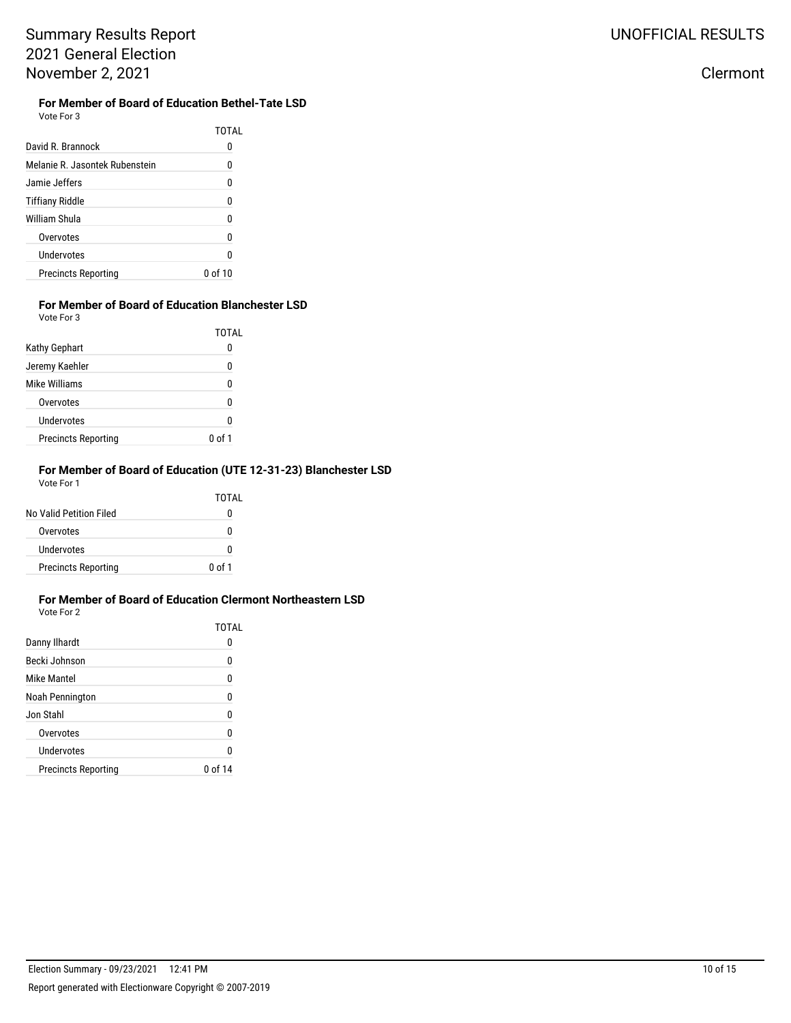### **For Member of Board of Education Bethel-Tate LSD**

Vote For 3 TOTAL

| David R. Brannock              |         |
|--------------------------------|---------|
| Melanie R. Jasontek Rubenstein | N       |
| Jamie Jeffers                  | N       |
| <b>Tiffiany Riddle</b>         | 0       |
| William Shula                  | n       |
| Overvotes                      | N       |
| Undervotes                     | n       |
| <b>Precincts Reporting</b>     | በ of 1በ |

#### **For Member of Board of Education Blanchester LSD** Vote For 3

|                            | TOTAL  |
|----------------------------|--------|
| <b>Kathy Gephart</b>       | 0      |
| Jeremy Kaehler             | 0      |
| Mike Williams              | 0      |
| Overvotes                  | 0      |
| Undervotes                 | 0      |
| <b>Precincts Reporting</b> | 0 of 1 |

#### **For Member of Board of Education (UTE 12-31-23) Blanchester LSD** Vote For 1

|                            | TOTAL  |
|----------------------------|--------|
| No Valid Petition Filed    | O      |
| Overvotes                  | O      |
| Undervotes                 | n      |
| <b>Precincts Reporting</b> | 0 of 1 |

#### **For Member of Board of Education Clermont Northeastern LSD** Vote For 2

|                            | TOTAI   |
|----------------------------|---------|
| Danny Ilhardt              | 0       |
| Becki Johnson              | 0       |
| Mike Mantel                | N       |
| Noah Pennington            | 0       |
| Jon Stahl                  | 0       |
| Overvotes                  | 0       |
| Undervotes                 | 0       |
| <b>Precincts Reporting</b> | 0 of 14 |
|                            |         |

### Clermont

### Election Summary - 09/23/2021 12:41 PM 10 of 15 Report generated with Electionware Copyright © 2007-2019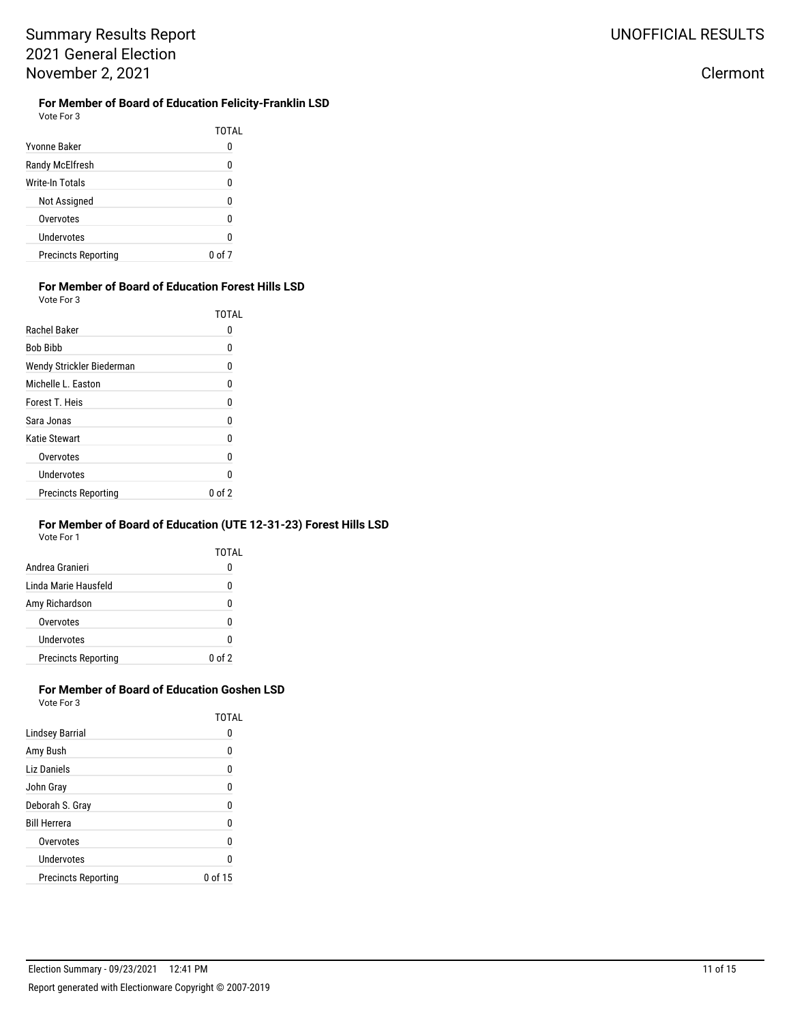### Clermont

### **For Member of Board of Education Felicity-Franklin LSD**

Vote For 3

|                            | TOTAL  |
|----------------------------|--------|
| Yvonne Baker               | 0      |
| Randy McElfresh            | 0      |
| Write-In Totals            | 0      |
| Not Assigned               | ŋ      |
| Overvotes                  | U      |
| Undervotes                 | ŋ      |
| <b>Precincts Reporting</b> | 0 of 7 |

### **For Member of Board of Education Forest Hills LSD**

Vote For 3

|                            | <b>TOTAL</b> |
|----------------------------|--------------|
| Rachel Baker               | 0            |
| <b>Bob Bibb</b>            | 0            |
| Wendy Strickler Biederman  | 0            |
| Michelle L. Easton         | 0            |
| Forest T. Heis             | 0            |
| Sara Jonas                 | 0            |
| Katie Stewart              | 0            |
| Overvotes                  | 0            |
| Undervotes                 | n            |
| <b>Precincts Reporting</b> | 0 of 2       |

#### **For Member of Board of Education (UTE 12-31-23) Forest Hills LSD** Vote For 1

TOTAL

| <b>VULE FUL I</b> |  |  |
|-------------------|--|--|
|                   |  |  |
|                   |  |  |

| Andrea Granieri            | O                             |
|----------------------------|-------------------------------|
| Linda Marie Hausfeld       | N                             |
| Amy Richardson             | N                             |
| Overvotes                  | 0                             |
| Undervotes                 | N                             |
| <b>Precincts Reporting</b> | 0 <sub>0</sub> f <sub>2</sub> |

#### **For Member of Board of Education Goshen LSD** Vote For 3

|                            | TOTAL   |
|----------------------------|---------|
| <b>Lindsey Barrial</b>     | 0       |
| Amy Bush                   | 0       |
| Liz Daniels                | 0       |
| John Gray                  | 0       |
| Deborah S. Gray            | Ω       |
| <b>Bill Herrera</b>        | n       |
| Overvotes                  | n       |
| Undervotes                 |         |
| <b>Precincts Reporting</b> | 0 of 15 |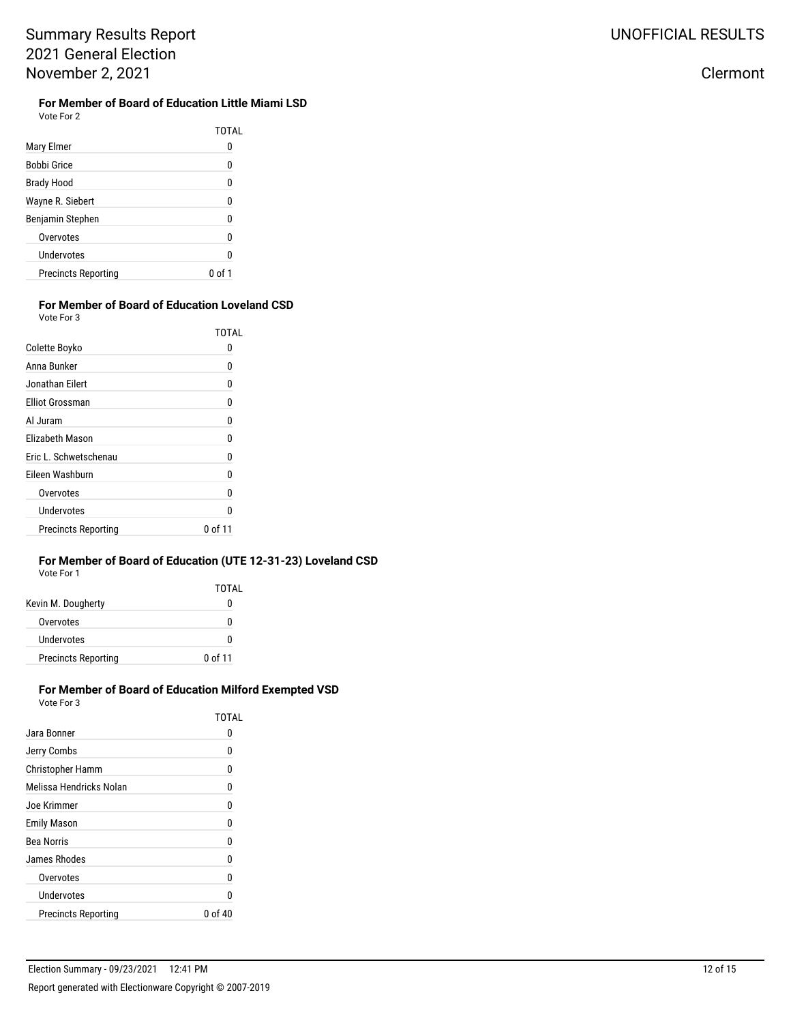# **For Member of Board of Education Little Miami LSD**<br>Vote For 2

| Vote For 2 |
|------------|
|------------|

|                            | <b>TOTAL</b> |
|----------------------------|--------------|
| Mary Elmer                 | 0            |
| Bobbi Grice                | 0            |
| <b>Brady Hood</b>          | 0            |
| Wayne R. Siebert           | 0            |
| Benjamin Stephen           | 0            |
| Overvotes                  | 0            |
| Undervotes                 | U            |
| <b>Precincts Reporting</b> | 0 of 1       |

#### **For Member of Board of Education Loveland CSD** Vote For 3

|                            | TOTAL   |
|----------------------------|---------|
| Colette Boyko              | O       |
| Anna Bunker                | 0       |
| Jonathan Eilert            | N       |
| <b>Elliot Grossman</b>     | 0       |
| Al Juram                   | 0       |
| Elizabeth Mason            | N       |
| Eric L. Schwetschenau      | 0       |
| Eileen Washburn            | N       |
| Overvotes                  | n       |
| Undervotes                 | N       |
| <b>Precincts Reporting</b> | 0 of 11 |

#### **For Member of Board of Education (UTE 12-31-23) Loveland CSD** Vote For 1

| 1 IU JU                    |           |
|----------------------------|-----------|
|                            | TOTAL     |
| Kevin M. Dougherty         | 0         |
| Overvotes                  | O         |
| Undervotes                 | 0         |
| <b>Precincts Reporting</b> | $0$ of 11 |

### **For Member of Board of Education Milford Exempted VSD**

Vote For 3

|                            | TOTAI   |
|----------------------------|---------|
| Jara Bonner                | 0       |
| Jerry Combs                | n       |
| <b>Christopher Hamm</b>    | 0       |
| Melissa Hendricks Nolan    | n       |
| Joe Krimmer                | 0       |
| Emily Mason                | 0       |
| Bea Norris                 | 0       |
| James Rhodes               | 0       |
| Overvotes                  | 0       |
| Undervotes                 | n       |
| <b>Precincts Reporting</b> | 0 of 40 |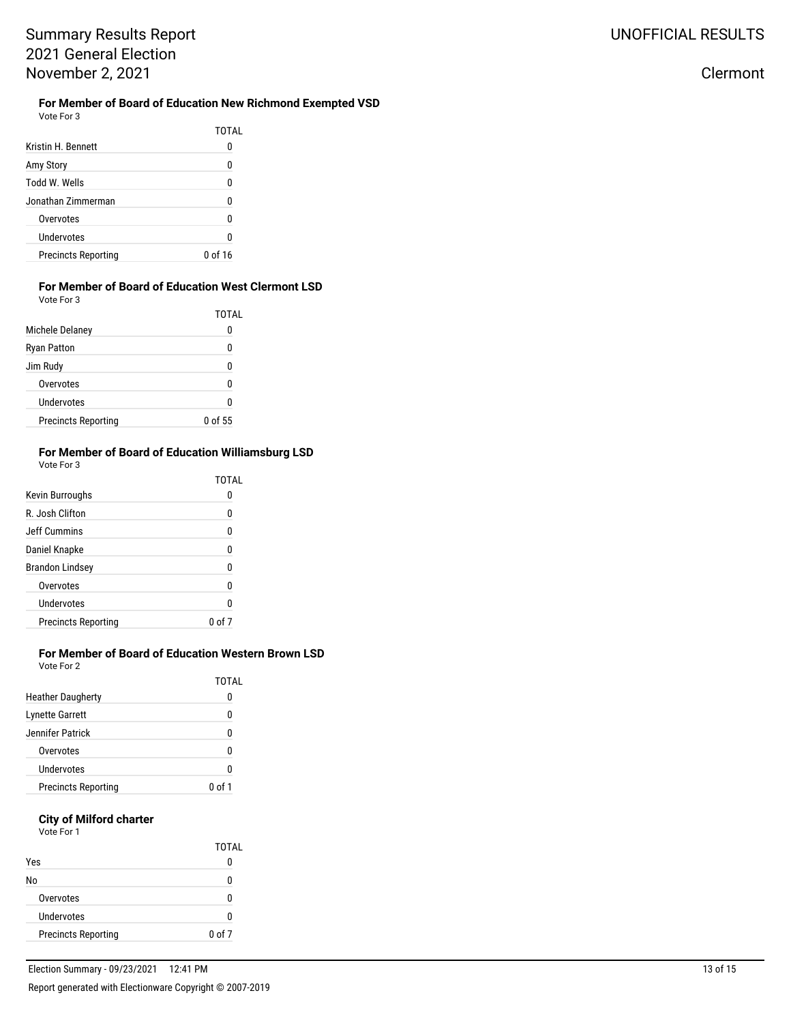**For Member of Board of Education New Richmond Exempted VSD** Vote For 3

|                            | TOTAI   |
|----------------------------|---------|
| Kristin H. Bennett         |         |
| Amy Story                  | N       |
| Todd W. Wells              |         |
| Jonathan Zimmerman         |         |
| Overvotes                  |         |
| Undervotes                 |         |
| <b>Precincts Reporting</b> | 0 of 16 |

### **For Member of Board of Education West Clermont LSD**

Vote For 3

|                            | TOTAL   |
|----------------------------|---------|
| Michele Delaney            | 0       |
| <b>Ryan Patton</b>         | O       |
| Jim Rudy                   | n       |
| Overvotes                  | N       |
| Undervotes                 | n       |
| <b>Precincts Reporting</b> | 0 of 55 |

#### **For Member of Board of Education Williamsburg LSD** Vote For 3

| Kevin Burroughs            | TOTAL<br>O |
|----------------------------|------------|
| R. Josh Clifton            | 0          |
| Jeff Cummins               | 0          |
| Daniel Knapke              | 0          |
| <b>Brandon Lindsey</b>     | 0          |
| Overvotes                  | 0          |
| <b>Undervotes</b>          | n          |
| <b>Precincts Reporting</b> | 0 ი        |

### **For Member of Board of Education Western Brown LSD**

Vote For 2

|                            | TOTAL  |
|----------------------------|--------|
| <b>Heather Daugherty</b>   |        |
| <b>Lynette Garrett</b>     | n      |
| Jennifer Patrick           | O      |
| Overvotes                  |        |
| Undervotes                 |        |
| <b>Precincts Reporting</b> | በ of 1 |

### **City of Milford charter**

Vote For 1

|                            | TOTAL      |
|----------------------------|------------|
| Yes                        |            |
| No                         |            |
| Overvotes                  |            |
| Undervotes                 |            |
| <b>Precincts Reporting</b> | $0$ of $7$ |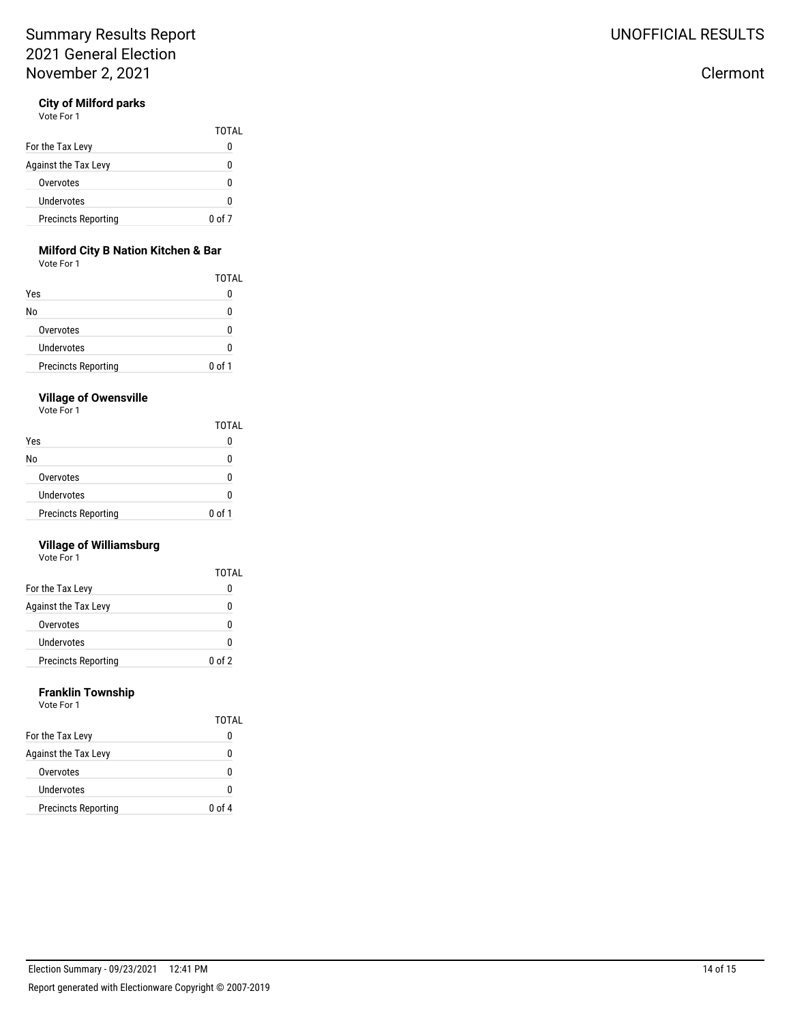### **City of Milford parks**

Vote For 1

|                            | TOTAL  |
|----------------------------|--------|
| For the Tax Levy           | 0      |
| Against the Tax Levy       | O      |
| Overvotes                  | n      |
| Undervotes                 | n      |
| <b>Precincts Reporting</b> | 0 of 7 |

### **Milford City B Nation Kitchen & Bar**

Vote For 1

|                            | TOTAL  |
|----------------------------|--------|
| Yes                        |        |
| No                         | n      |
| Overvotes                  | n      |
| Undervotes                 | O      |
| <b>Precincts Reporting</b> | 0 of 1 |

#### **Village of Owensville**

Vote For 1

|                            | <b>TOTAL</b> |
|----------------------------|--------------|
| Yes                        |              |
| No                         |              |
| Overvotes                  |              |
| Undervotes                 |              |
| <b>Precincts Reporting</b> | $0$ of 1     |

### **Village of Williamsburg**

Vote For 1

|                            | TOTAL   |
|----------------------------|---------|
| For the Tax Levy           | 0       |
| Against the Tax Levy       | n       |
| Overvotes                  | n       |
| Undervotes                 | o       |
| <b>Precincts Reporting</b> | $00f$ 2 |

### **Franklin Township**

| Vote For 1 |  |
|------------|--|
|            |  |

|                            | TOTAL     |
|----------------------------|-----------|
| For the Tax Levy           | 0         |
| Against the Tax Levy       | 0         |
| Overvotes                  | N         |
| Undervotes                 | n         |
| <b>Precincts Reporting</b> | $00$ of 4 |

# UNOFFICIAL RESULTS